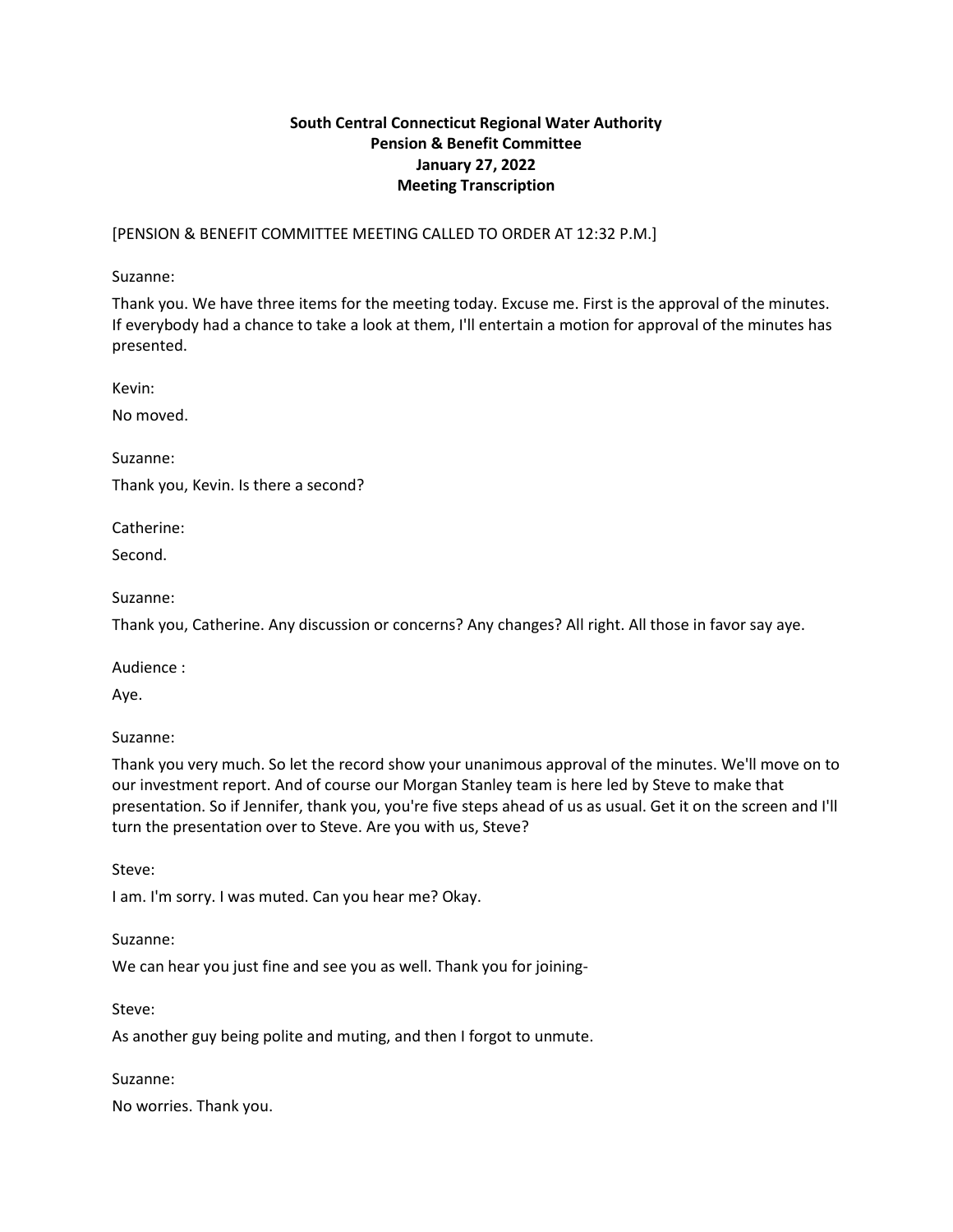# **South Central Connecticut Regional Water Authority Pension & Benefit Committee January 27, 2022 Meeting Transcription**

[PENSION & BENEFIT COMMITTEE MEETING CALLED TO ORDER AT 12:32 P.M.]

Suzanne:

Thank you. We have three items for the meeting today. Excuse me. First is the approval of the minutes. If everybody had a chance to take a look at them, I'll entertain a motion for approval of the minutes has presented.

Kevin:

No moved.

Suzanne:

Thank you, Kevin. Is there a second?

Catherine:

Second.

Suzanne:

Thank you, Catherine. Any discussion or concerns? Any changes? All right. All those in favor say aye.

Audience :

Aye.

Suzanne:

Thank you very much. So let the record show your unanimous approval of the minutes. We'll move on to our investment report. And of course our Morgan Stanley team is here led by Steve to make that presentation. So if Jennifer, thank you, you're five steps ahead of us as usual. Get it on the screen and I'll turn the presentation over to Steve. Are you with us, Steve?

Steve:

I am. I'm sorry. I was muted. Can you hear me? Okay.

Suzanne:

We can hear you just fine and see you as well. Thank you for joining-

Steve:

As another guy being polite and muting, and then I forgot to unmute.

Suzanne:

No worries. Thank you.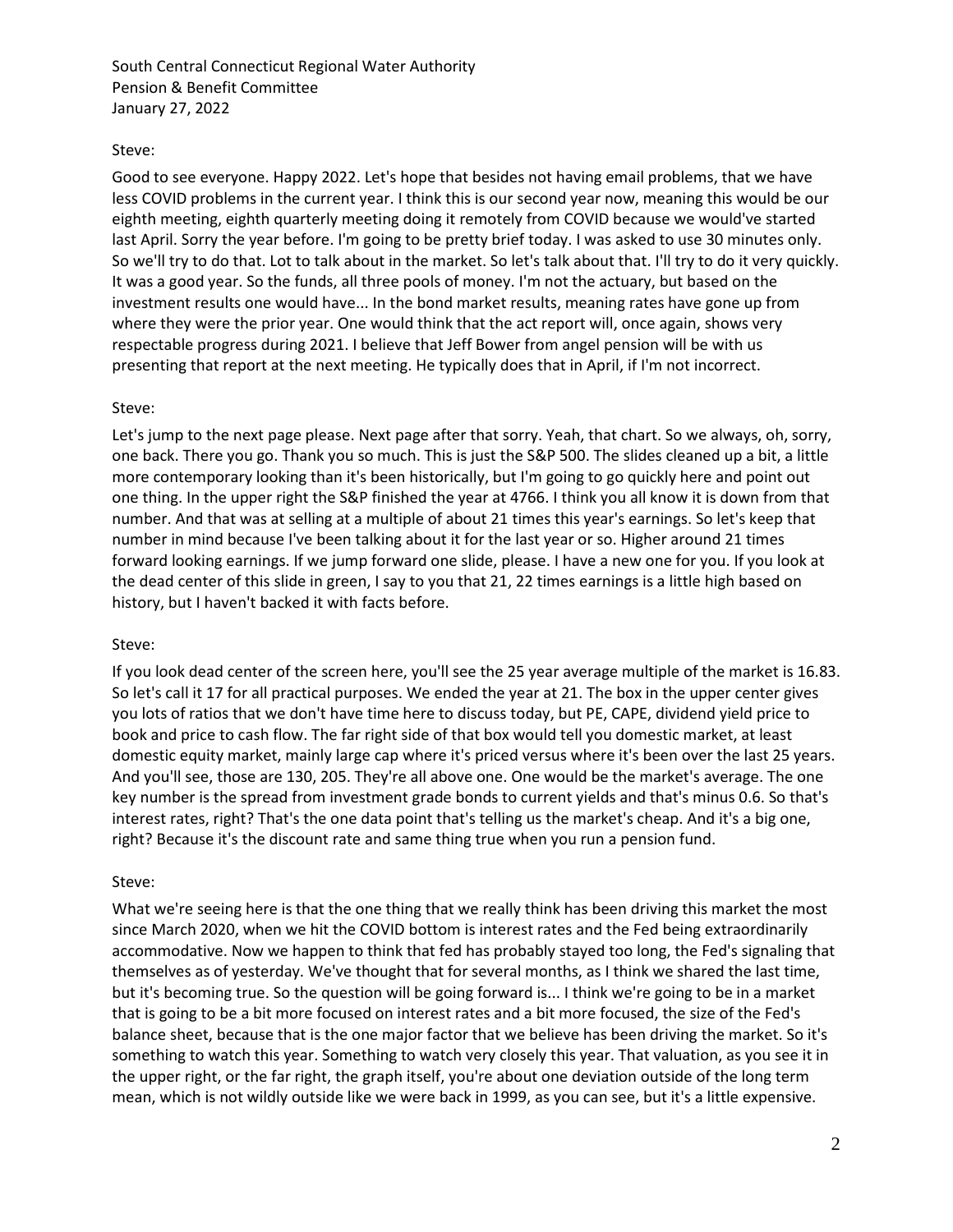### Steve:

Good to see everyone. Happy 2022. Let's hope that besides not having email problems, that we have less COVID problems in the current year. I think this is our second year now, meaning this would be our eighth meeting, eighth quarterly meeting doing it remotely from COVID because we would've started last April. Sorry the year before. I'm going to be pretty brief today. I was asked to use 30 minutes only. So we'll try to do that. Lot to talk about in the market. So let's talk about that. I'll try to do it very quickly. It was a good year. So the funds, all three pools of money. I'm not the actuary, but based on the investment results one would have... In the bond market results, meaning rates have gone up from where they were the prior year. One would think that the act report will, once again, shows very respectable progress during 2021. I believe that Jeff Bower from angel pension will be with us presenting that report at the next meeting. He typically does that in April, if I'm not incorrect.

### Steve:

Let's jump to the next page please. Next page after that sorry. Yeah, that chart. So we always, oh, sorry, one back. There you go. Thank you so much. This is just the S&P 500. The slides cleaned up a bit, a little more contemporary looking than it's been historically, but I'm going to go quickly here and point out one thing. In the upper right the S&P finished the year at 4766. I think you all know it is down from that number. And that was at selling at a multiple of about 21 times this year's earnings. So let's keep that number in mind because I've been talking about it for the last year or so. Higher around 21 times forward looking earnings. If we jump forward one slide, please. I have a new one for you. If you look at the dead center of this slide in green, I say to you that 21, 22 times earnings is a little high based on history, but I haven't backed it with facts before.

### Steve:

If you look dead center of the screen here, you'll see the 25 year average multiple of the market is 16.83. So let's call it 17 for all practical purposes. We ended the year at 21. The box in the upper center gives you lots of ratios that we don't have time here to discuss today, but PE, CAPE, dividend yield price to book and price to cash flow. The far right side of that box would tell you domestic market, at least domestic equity market, mainly large cap where it's priced versus where it's been over the last 25 years. And you'll see, those are 130, 205. They're all above one. One would be the market's average. The one key number is the spread from investment grade bonds to current yields and that's minus 0.6. So that's interest rates, right? That's the one data point that's telling us the market's cheap. And it's a big one, right? Because it's the discount rate and same thing true when you run a pension fund.

### Steve:

What we're seeing here is that the one thing that we really think has been driving this market the most since March 2020, when we hit the COVID bottom is interest rates and the Fed being extraordinarily accommodative. Now we happen to think that fed has probably stayed too long, the Fed's signaling that themselves as of yesterday. We've thought that for several months, as I think we shared the last time, but it's becoming true. So the question will be going forward is... I think we're going to be in a market that is going to be a bit more focused on interest rates and a bit more focused, the size of the Fed's balance sheet, because that is the one major factor that we believe has been driving the market. So it's something to watch this year. Something to watch very closely this year. That valuation, as you see it in the upper right, or the far right, the graph itself, you're about one deviation outside of the long term mean, which is not wildly outside like we were back in 1999, as you can see, but it's a little expensive.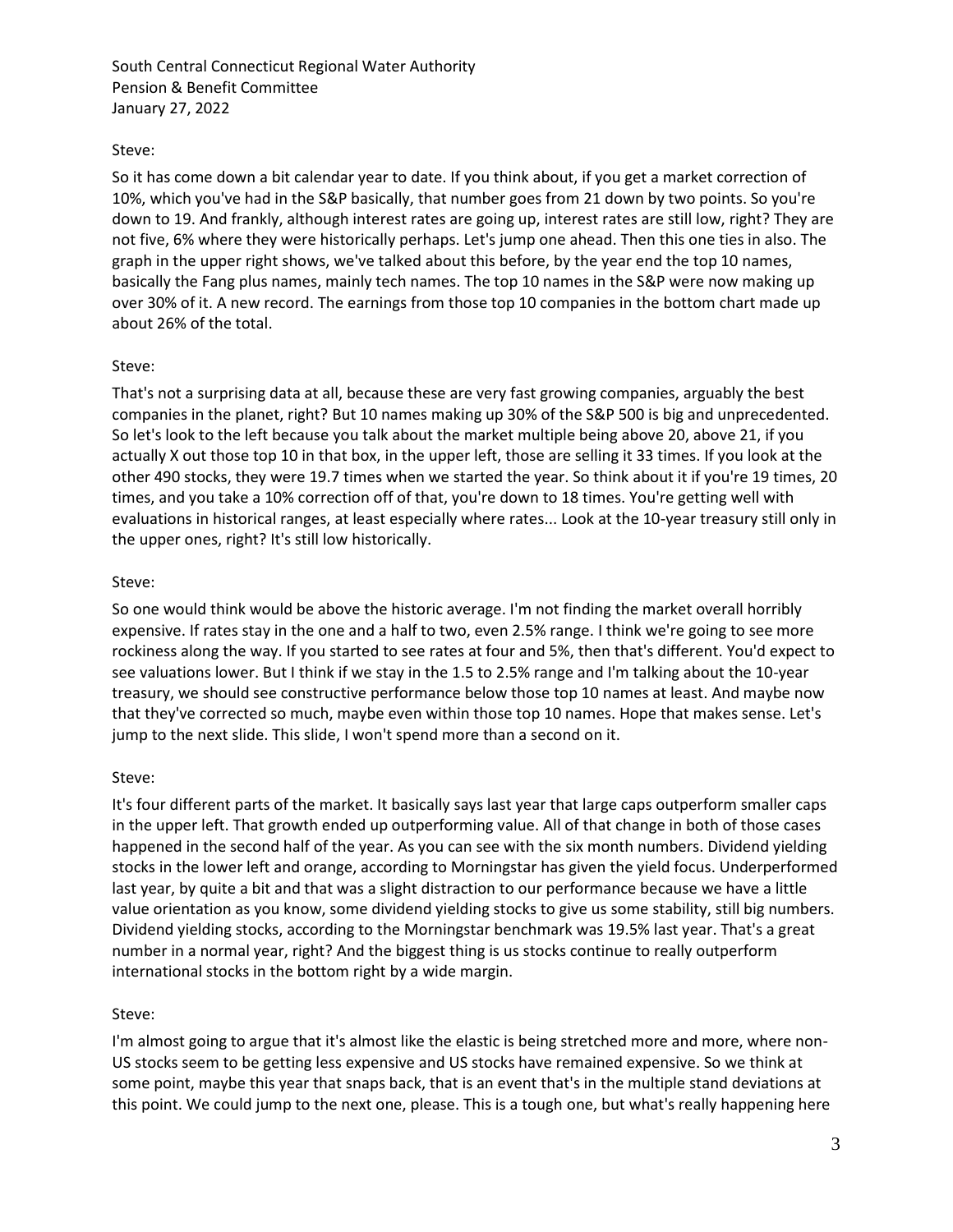### Steve:

So it has come down a bit calendar year to date. If you think about, if you get a market correction of 10%, which you've had in the S&P basically, that number goes from 21 down by two points. So you're down to 19. And frankly, although interest rates are going up, interest rates are still low, right? They are not five, 6% where they were historically perhaps. Let's jump one ahead. Then this one ties in also. The graph in the upper right shows, we've talked about this before, by the year end the top 10 names, basically the Fang plus names, mainly tech names. The top 10 names in the S&P were now making up over 30% of it. A new record. The earnings from those top 10 companies in the bottom chart made up about 26% of the total.

### Steve:

That's not a surprising data at all, because these are very fast growing companies, arguably the best companies in the planet, right? But 10 names making up 30% of the S&P 500 is big and unprecedented. So let's look to the left because you talk about the market multiple being above 20, above 21, if you actually X out those top 10 in that box, in the upper left, those are selling it 33 times. If you look at the other 490 stocks, they were 19.7 times when we started the year. So think about it if you're 19 times, 20 times, and you take a 10% correction off of that, you're down to 18 times. You're getting well with evaluations in historical ranges, at least especially where rates... Look at the 10-year treasury still only in the upper ones, right? It's still low historically.

## Steve:

So one would think would be above the historic average. I'm not finding the market overall horribly expensive. If rates stay in the one and a half to two, even 2.5% range. I think we're going to see more rockiness along the way. If you started to see rates at four and 5%, then that's different. You'd expect to see valuations lower. But I think if we stay in the 1.5 to 2.5% range and I'm talking about the 10-year treasury, we should see constructive performance below those top 10 names at least. And maybe now that they've corrected so much, maybe even within those top 10 names. Hope that makes sense. Let's jump to the next slide. This slide, I won't spend more than a second on it.

# Steve:

It's four different parts of the market. It basically says last year that large caps outperform smaller caps in the upper left. That growth ended up outperforming value. All of that change in both of those cases happened in the second half of the year. As you can see with the six month numbers. Dividend yielding stocks in the lower left and orange, according to Morningstar has given the yield focus. Underperformed last year, by quite a bit and that was a slight distraction to our performance because we have a little value orientation as you know, some dividend yielding stocks to give us some stability, still big numbers. Dividend yielding stocks, according to the Morningstar benchmark was 19.5% last year. That's a great number in a normal year, right? And the biggest thing is us stocks continue to really outperform international stocks in the bottom right by a wide margin.

# Steve:

I'm almost going to argue that it's almost like the elastic is being stretched more and more, where non-US stocks seem to be getting less expensive and US stocks have remained expensive. So we think at some point, maybe this year that snaps back, that is an event that's in the multiple stand deviations at this point. We could jump to the next one, please. This is a tough one, but what's really happening here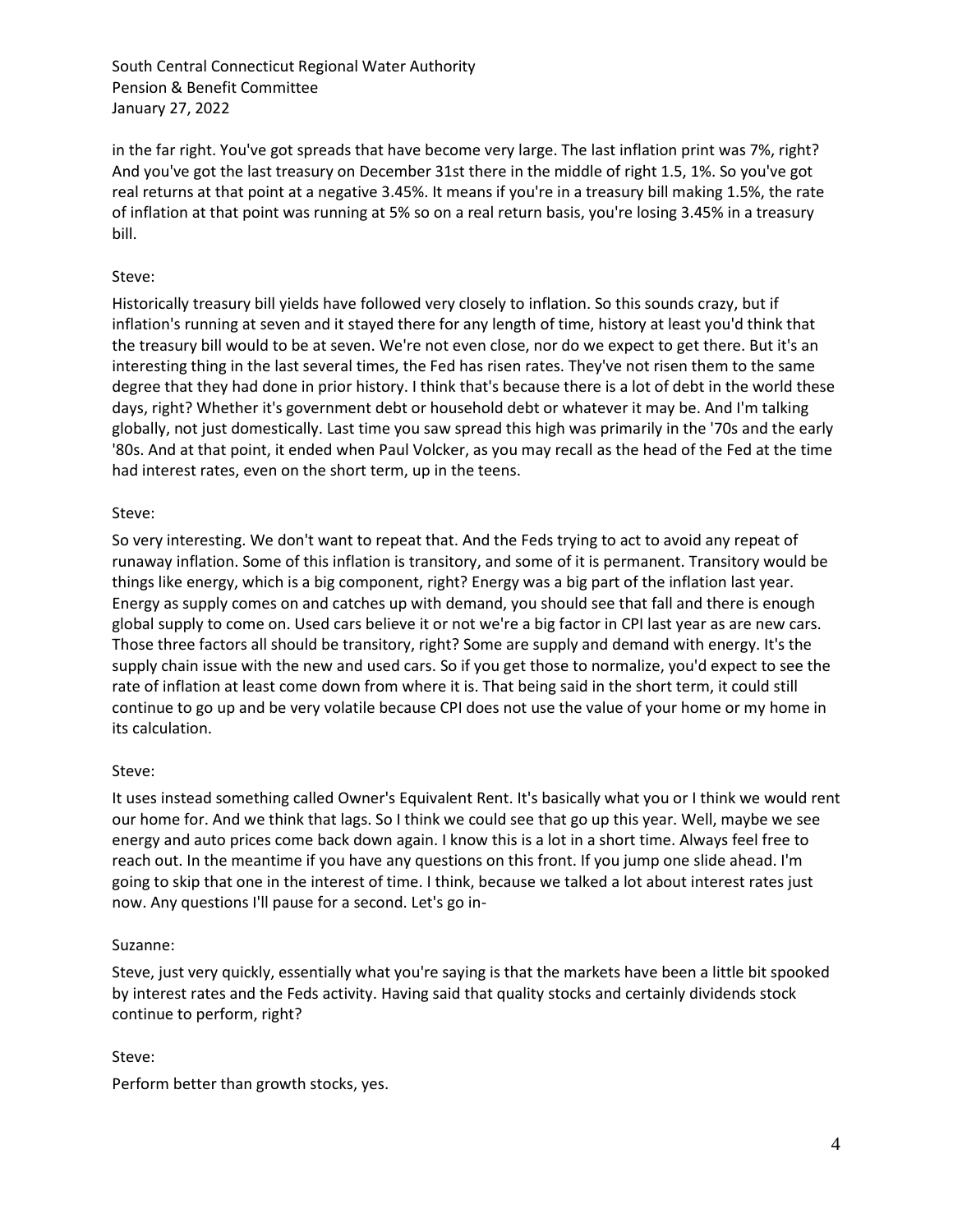in the far right. You've got spreads that have become very large. The last inflation print was 7%, right? And you've got the last treasury on December 31st there in the middle of right 1.5, 1%. So you've got real returns at that point at a negative 3.45%. It means if you're in a treasury bill making 1.5%, the rate of inflation at that point was running at 5% so on a real return basis, you're losing 3.45% in a treasury bill.

# Steve:

Historically treasury bill yields have followed very closely to inflation. So this sounds crazy, but if inflation's running at seven and it stayed there for any length of time, history at least you'd think that the treasury bill would to be at seven. We're not even close, nor do we expect to get there. But it's an interesting thing in the last several times, the Fed has risen rates. They've not risen them to the same degree that they had done in prior history. I think that's because there is a lot of debt in the world these days, right? Whether it's government debt or household debt or whatever it may be. And I'm talking globally, not just domestically. Last time you saw spread this high was primarily in the '70s and the early '80s. And at that point, it ended when Paul Volcker, as you may recall as the head of the Fed at the time had interest rates, even on the short term, up in the teens.

### Steve:

So very interesting. We don't want to repeat that. And the Feds trying to act to avoid any repeat of runaway inflation. Some of this inflation is transitory, and some of it is permanent. Transitory would be things like energy, which is a big component, right? Energy was a big part of the inflation last year. Energy as supply comes on and catches up with demand, you should see that fall and there is enough global supply to come on. Used cars believe it or not we're a big factor in CPI last year as are new cars. Those three factors all should be transitory, right? Some are supply and demand with energy. It's the supply chain issue with the new and used cars. So if you get those to normalize, you'd expect to see the rate of inflation at least come down from where it is. That being said in the short term, it could still continue to go up and be very volatile because CPI does not use the value of your home or my home in its calculation.

### Steve:

It uses instead something called Owner's Equivalent Rent. It's basically what you or I think we would rent our home for. And we think that lags. So I think we could see that go up this year. Well, maybe we see energy and auto prices come back down again. I know this is a lot in a short time. Always feel free to reach out. In the meantime if you have any questions on this front. If you jump one slide ahead. I'm going to skip that one in the interest of time. I think, because we talked a lot about interest rates just now. Any questions I'll pause for a second. Let's go in-

#### Suzanne:

Steve, just very quickly, essentially what you're saying is that the markets have been a little bit spooked by interest rates and the Feds activity. Having said that quality stocks and certainly dividends stock continue to perform, right?

### Steve:

Perform better than growth stocks, yes.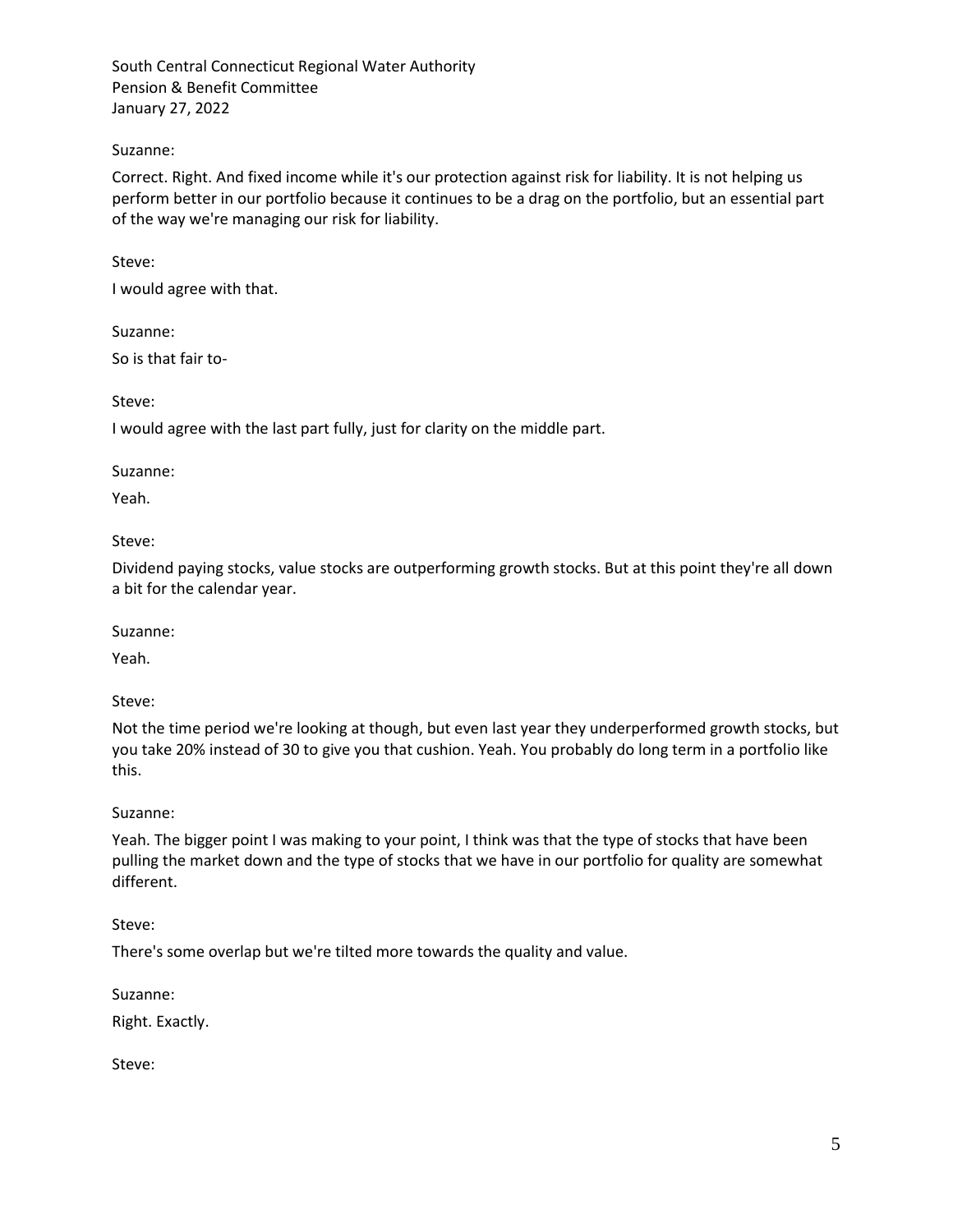## Suzanne:

Correct. Right. And fixed income while it's our protection against risk for liability. It is not helping us perform better in our portfolio because it continues to be a drag on the portfolio, but an essential part of the way we're managing our risk for liability.

## Steve:

I would agree with that.

### Suzanne:

So is that fair to-

Steve:

I would agree with the last part fully, just for clarity on the middle part.

### Suzanne:

Yeah.

## Steve:

Dividend paying stocks, value stocks are outperforming growth stocks. But at this point they're all down a bit for the calendar year.

### Suzanne:

Yeah.

# Steve:

Not the time period we're looking at though, but even last year they underperformed growth stocks, but you take 20% instead of 30 to give you that cushion. Yeah. You probably do long term in a portfolio like this.

# Suzanne:

Yeah. The bigger point I was making to your point, I think was that the type of stocks that have been pulling the market down and the type of stocks that we have in our portfolio for quality are somewhat different.

# Steve:

There's some overlap but we're tilted more towards the quality and value.

Suzanne:

Right. Exactly.

Steve: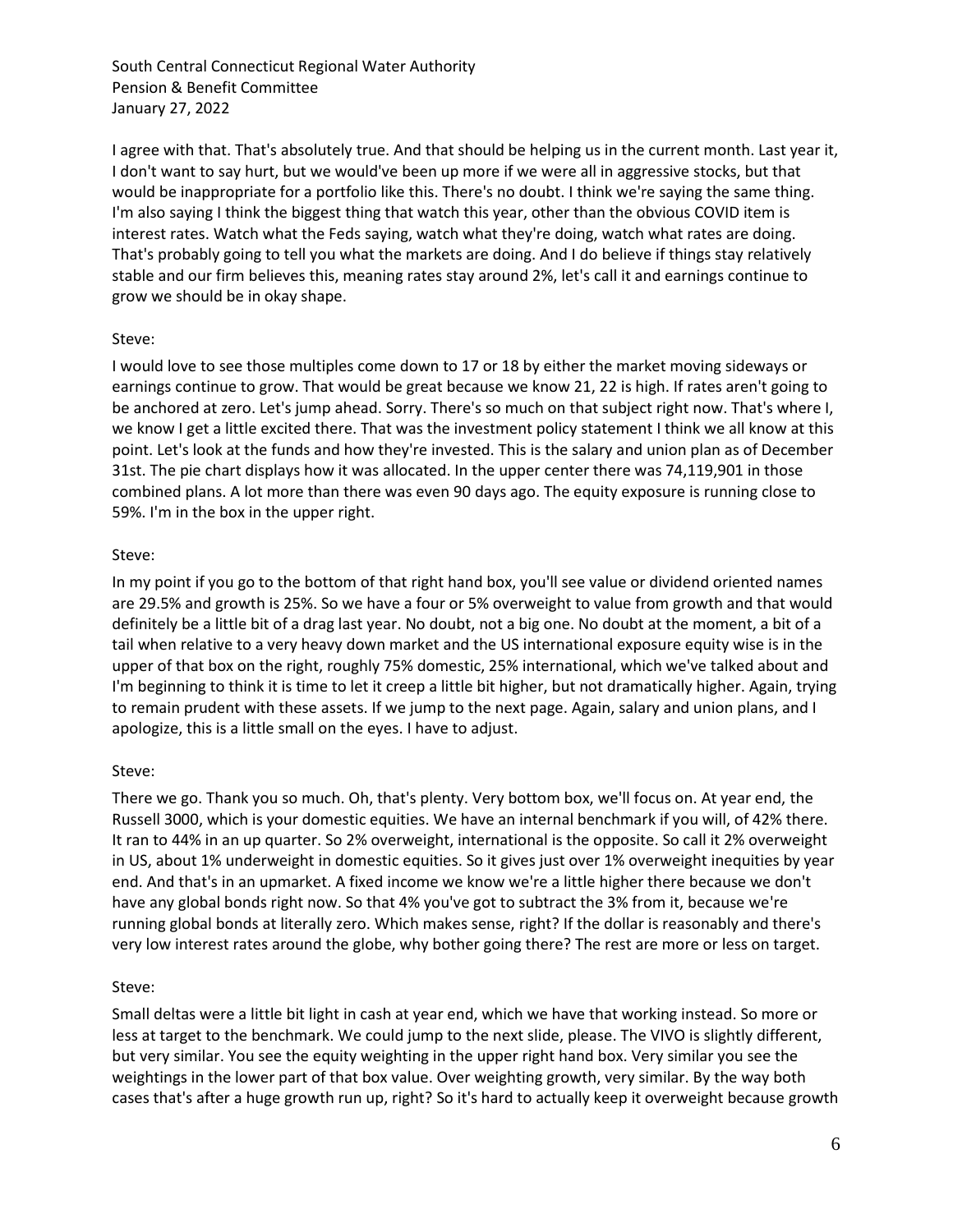I agree with that. That's absolutely true. And that should be helping us in the current month. Last year it, I don't want to say hurt, but we would've been up more if we were all in aggressive stocks, but that would be inappropriate for a portfolio like this. There's no doubt. I think we're saying the same thing. I'm also saying I think the biggest thing that watch this year, other than the obvious COVID item is interest rates. Watch what the Feds saying, watch what they're doing, watch what rates are doing. That's probably going to tell you what the markets are doing. And I do believe if things stay relatively stable and our firm believes this, meaning rates stay around 2%, let's call it and earnings continue to grow we should be in okay shape.

### Steve:

I would love to see those multiples come down to 17 or 18 by either the market moving sideways or earnings continue to grow. That would be great because we know 21, 22 is high. If rates aren't going to be anchored at zero. Let's jump ahead. Sorry. There's so much on that subject right now. That's where I, we know I get a little excited there. That was the investment policy statement I think we all know at this point. Let's look at the funds and how they're invested. This is the salary and union plan as of December 31st. The pie chart displays how it was allocated. In the upper center there was 74,119,901 in those combined plans. A lot more than there was even 90 days ago. The equity exposure is running close to 59%. I'm in the box in the upper right.

### Steve:

In my point if you go to the bottom of that right hand box, you'll see value or dividend oriented names are 29.5% and growth is 25%. So we have a four or 5% overweight to value from growth and that would definitely be a little bit of a drag last year. No doubt, not a big one. No doubt at the moment, a bit of a tail when relative to a very heavy down market and the US international exposure equity wise is in the upper of that box on the right, roughly 75% domestic, 25% international, which we've talked about and I'm beginning to think it is time to let it creep a little bit higher, but not dramatically higher. Again, trying to remain prudent with these assets. If we jump to the next page. Again, salary and union plans, and I apologize, this is a little small on the eyes. I have to adjust.

### Steve:

There we go. Thank you so much. Oh, that's plenty. Very bottom box, we'll focus on. At year end, the Russell 3000, which is your domestic equities. We have an internal benchmark if you will, of 42% there. It ran to 44% in an up quarter. So 2% overweight, international is the opposite. So call it 2% overweight in US, about 1% underweight in domestic equities. So it gives just over 1% overweight inequities by year end. And that's in an upmarket. A fixed income we know we're a little higher there because we don't have any global bonds right now. So that 4% you've got to subtract the 3% from it, because we're running global bonds at literally zero. Which makes sense, right? If the dollar is reasonably and there's very low interest rates around the globe, why bother going there? The rest are more or less on target.

### Steve:

Small deltas were a little bit light in cash at year end, which we have that working instead. So more or less at target to the benchmark. We could jump to the next slide, please. The VIVO is slightly different, but very similar. You see the equity weighting in the upper right hand box. Very similar you see the weightings in the lower part of that box value. Over weighting growth, very similar. By the way both cases that's after a huge growth run up, right? So it's hard to actually keep it overweight because growth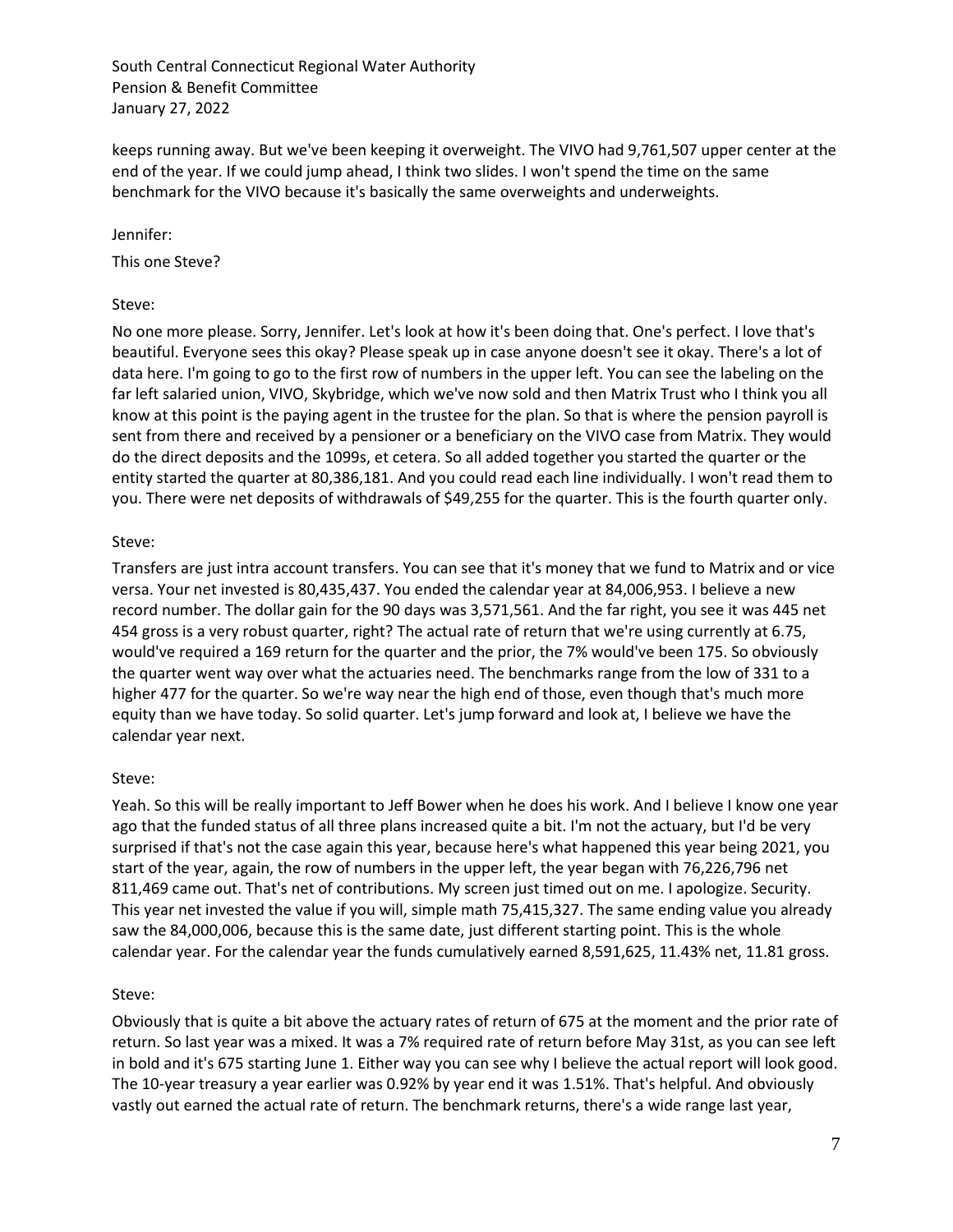keeps running away. But we've been keeping it overweight. The VIVO had 9,761,507 upper center at the end of the year. If we could jump ahead, I think two slides. I won't spend the time on the same benchmark for the VIVO because it's basically the same overweights and underweights.

Jennifer:

This one Steve?

## Steve:

No one more please. Sorry, Jennifer. Let's look at how it's been doing that. One's perfect. I love that's beautiful. Everyone sees this okay? Please speak up in case anyone doesn't see it okay. There's a lot of data here. I'm going to go to the first row of numbers in the upper left. You can see the labeling on the far left salaried union, VIVO, Skybridge, which we've now sold and then Matrix Trust who I think you all know at this point is the paying agent in the trustee for the plan. So that is where the pension payroll is sent from there and received by a pensioner or a beneficiary on the VIVO case from Matrix. They would do the direct deposits and the 1099s, et cetera. So all added together you started the quarter or the entity started the quarter at 80,386,181. And you could read each line individually. I won't read them to you. There were net deposits of withdrawals of \$49,255 for the quarter. This is the fourth quarter only.

## Steve:

Transfers are just intra account transfers. You can see that it's money that we fund to Matrix and or vice versa. Your net invested is 80,435,437. You ended the calendar year at 84,006,953. I believe a new record number. The dollar gain for the 90 days was 3,571,561. And the far right, you see it was 445 net 454 gross is a very robust quarter, right? The actual rate of return that we're using currently at 6.75, would've required a 169 return for the quarter and the prior, the 7% would've been 175. So obviously the quarter went way over what the actuaries need. The benchmarks range from the low of 331 to a higher 477 for the quarter. So we're way near the high end of those, even though that's much more equity than we have today. So solid quarter. Let's jump forward and look at, I believe we have the calendar year next.

# Steve:

Yeah. So this will be really important to Jeff Bower when he does his work. And I believe I know one year ago that the funded status of all three plans increased quite a bit. I'm not the actuary, but I'd be very surprised if that's not the case again this year, because here's what happened this year being 2021, you start of the year, again, the row of numbers in the upper left, the year began with 76,226,796 net 811,469 came out. That's net of contributions. My screen just timed out on me. I apologize. Security. This year net invested the value if you will, simple math 75,415,327. The same ending value you already saw the 84,000,006, because this is the same date, just different starting point. This is the whole calendar year. For the calendar year the funds cumulatively earned 8,591,625, 11.43% net, 11.81 gross.

### Steve:

Obviously that is quite a bit above the actuary rates of return of 675 at the moment and the prior rate of return. So last year was a mixed. It was a 7% required rate of return before May 31st, as you can see left in bold and it's 675 starting June 1. Either way you can see why I believe the actual report will look good. The 10-year treasury a year earlier was 0.92% by year end it was 1.51%. That's helpful. And obviously vastly out earned the actual rate of return. The benchmark returns, there's a wide range last year,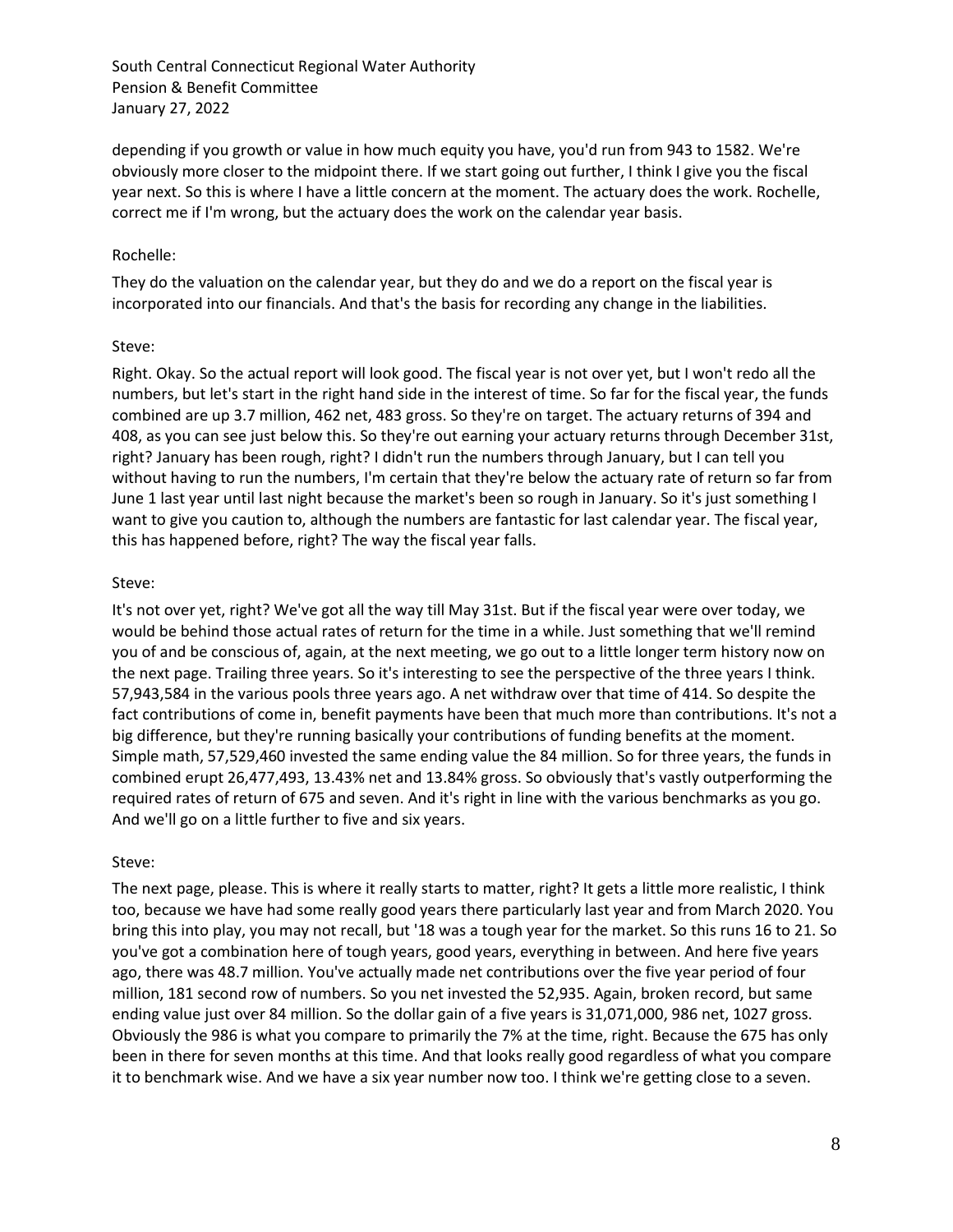depending if you growth or value in how much equity you have, you'd run from 943 to 1582. We're obviously more closer to the midpoint there. If we start going out further, I think I give you the fiscal year next. So this is where I have a little concern at the moment. The actuary does the work. Rochelle, correct me if I'm wrong, but the actuary does the work on the calendar year basis.

### Rochelle:

They do the valuation on the calendar year, but they do and we do a report on the fiscal year is incorporated into our financials. And that's the basis for recording any change in the liabilities.

#### Steve:

Right. Okay. So the actual report will look good. The fiscal year is not over yet, but I won't redo all the numbers, but let's start in the right hand side in the interest of time. So far for the fiscal year, the funds combined are up 3.7 million, 462 net, 483 gross. So they're on target. The actuary returns of 394 and 408, as you can see just below this. So they're out earning your actuary returns through December 31st, right? January has been rough, right? I didn't run the numbers through January, but I can tell you without having to run the numbers, I'm certain that they're below the actuary rate of return so far from June 1 last year until last night because the market's been so rough in January. So it's just something I want to give you caution to, although the numbers are fantastic for last calendar year. The fiscal year, this has happened before, right? The way the fiscal year falls.

#### Steve:

It's not over yet, right? We've got all the way till May 31st. But if the fiscal year were over today, we would be behind those actual rates of return for the time in a while. Just something that we'll remind you of and be conscious of, again, at the next meeting, we go out to a little longer term history now on the next page. Trailing three years. So it's interesting to see the perspective of the three years I think. 57,943,584 in the various pools three years ago. A net withdraw over that time of 414. So despite the fact contributions of come in, benefit payments have been that much more than contributions. It's not a big difference, but they're running basically your contributions of funding benefits at the moment. Simple math, 57,529,460 invested the same ending value the 84 million. So for three years, the funds in combined erupt 26,477,493, 13.43% net and 13.84% gross. So obviously that's vastly outperforming the required rates of return of 675 and seven. And it's right in line with the various benchmarks as you go. And we'll go on a little further to five and six years.

#### Steve:

The next page, please. This is where it really starts to matter, right? It gets a little more realistic, I think too, because we have had some really good years there particularly last year and from March 2020. You bring this into play, you may not recall, but '18 was a tough year for the market. So this runs 16 to 21. So you've got a combination here of tough years, good years, everything in between. And here five years ago, there was 48.7 million. You've actually made net contributions over the five year period of four million, 181 second row of numbers. So you net invested the 52,935. Again, broken record, but same ending value just over 84 million. So the dollar gain of a five years is 31,071,000, 986 net, 1027 gross. Obviously the 986 is what you compare to primarily the 7% at the time, right. Because the 675 has only been in there for seven months at this time. And that looks really good regardless of what you compare it to benchmark wise. And we have a six year number now too. I think we're getting close to a seven.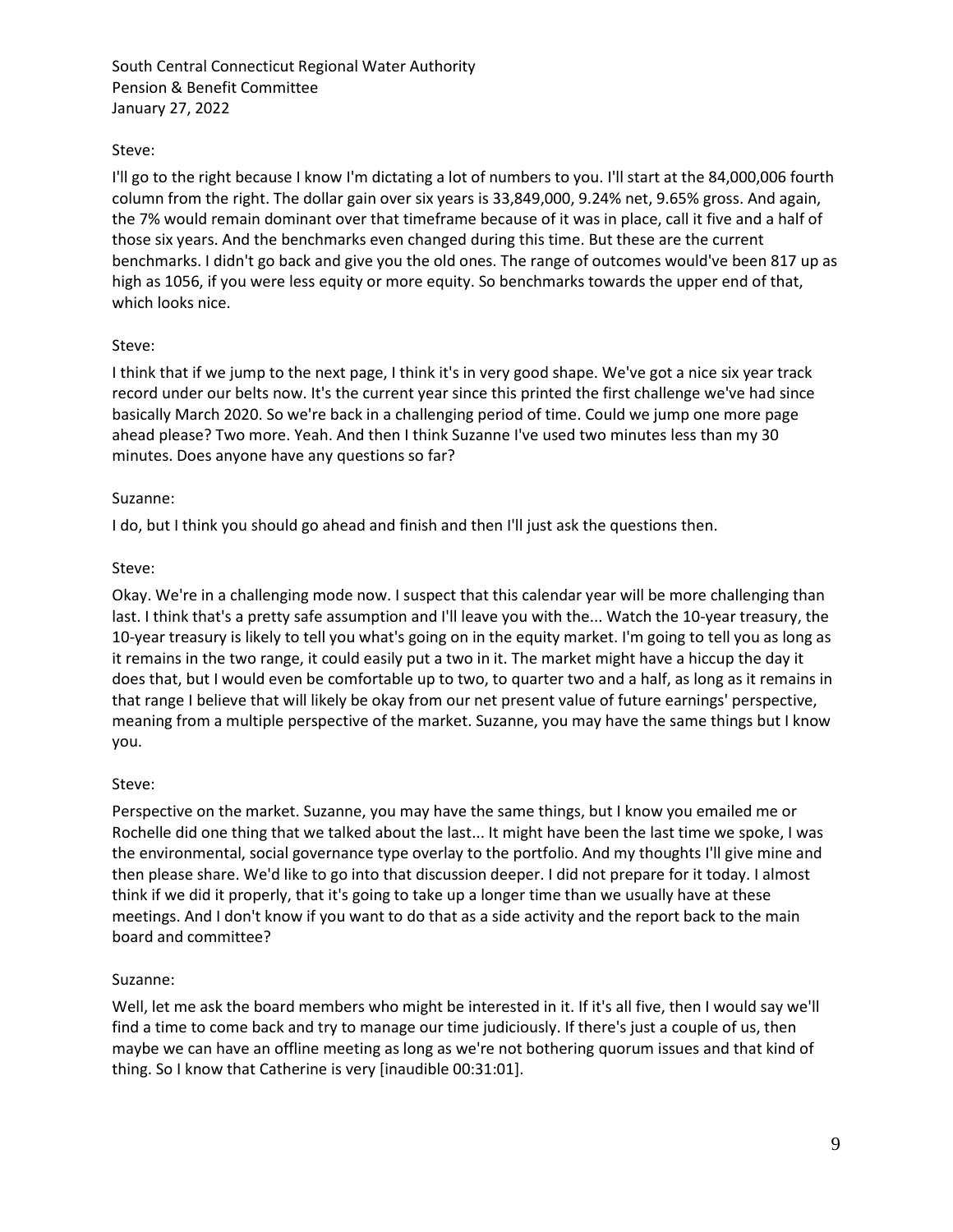# Steve:

I'll go to the right because I know I'm dictating a lot of numbers to you. I'll start at the 84,000,006 fourth column from the right. The dollar gain over six years is 33,849,000, 9.24% net, 9.65% gross. And again, the 7% would remain dominant over that timeframe because of it was in place, call it five and a half of those six years. And the benchmarks even changed during this time. But these are the current benchmarks. I didn't go back and give you the old ones. The range of outcomes would've been 817 up as high as 1056, if you were less equity or more equity. So benchmarks towards the upper end of that, which looks nice.

### Steve:

I think that if we jump to the next page, I think it's in very good shape. We've got a nice six year track record under our belts now. It's the current year since this printed the first challenge we've had since basically March 2020. So we're back in a challenging period of time. Could we jump one more page ahead please? Two more. Yeah. And then I think Suzanne I've used two minutes less than my 30 minutes. Does anyone have any questions so far?

### Suzanne:

I do, but I think you should go ahead and finish and then I'll just ask the questions then.

## Steve:

Okay. We're in a challenging mode now. I suspect that this calendar year will be more challenging than last. I think that's a pretty safe assumption and I'll leave you with the... Watch the 10-year treasury, the 10-year treasury is likely to tell you what's going on in the equity market. I'm going to tell you as long as it remains in the two range, it could easily put a two in it. The market might have a hiccup the day it does that, but I would even be comfortable up to two, to quarter two and a half, as long as it remains in that range I believe that will likely be okay from our net present value of future earnings' perspective, meaning from a multiple perspective of the market. Suzanne, you may have the same things but I know you.

### Steve:

Perspective on the market. Suzanne, you may have the same things, but I know you emailed me or Rochelle did one thing that we talked about the last... It might have been the last time we spoke, I was the environmental, social governance type overlay to the portfolio. And my thoughts I'll give mine and then please share. We'd like to go into that discussion deeper. I did not prepare for it today. I almost think if we did it properly, that it's going to take up a longer time than we usually have at these meetings. And I don't know if you want to do that as a side activity and the report back to the main board and committee?

### Suzanne:

Well, let me ask the board members who might be interested in it. If it's all five, then I would say we'll find a time to come back and try to manage our time judiciously. If there's just a couple of us, then maybe we can have an offline meeting as long as we're not bothering quorum issues and that kind of thing. So I know that Catherine is very [inaudible 00:31:01].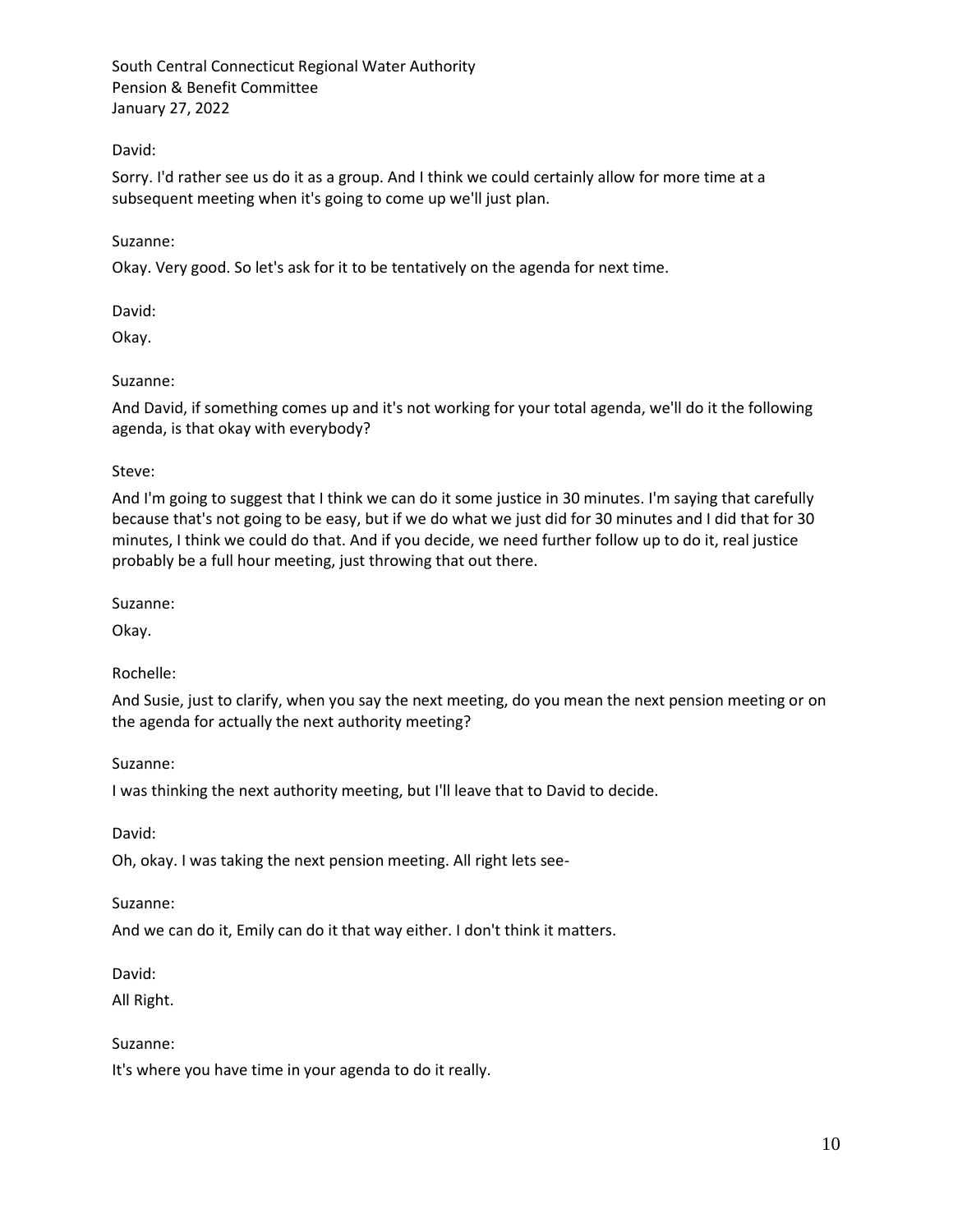## David:

Sorry. I'd rather see us do it as a group. And I think we could certainly allow for more time at a subsequent meeting when it's going to come up we'll just plan.

### Suzanne:

Okay. Very good. So let's ask for it to be tentatively on the agenda for next time.

David:

Okay.

## Suzanne:

And David, if something comes up and it's not working for your total agenda, we'll do it the following agenda, is that okay with everybody?

## Steve:

And I'm going to suggest that I think we can do it some justice in 30 minutes. I'm saying that carefully because that's not going to be easy, but if we do what we just did for 30 minutes and I did that for 30 minutes, I think we could do that. And if you decide, we need further follow up to do it, real justice probably be a full hour meeting, just throwing that out there.

Suzanne:

Okay.

# Rochelle:

And Susie, just to clarify, when you say the next meeting, do you mean the next pension meeting or on the agenda for actually the next authority meeting?

Suzanne:

I was thinking the next authority meeting, but I'll leave that to David to decide.

David:

Oh, okay. I was taking the next pension meeting. All right lets see-

Suzanne:

And we can do it, Emily can do it that way either. I don't think it matters.

David:

All Right.

### Suzanne:

It's where you have time in your agenda to do it really.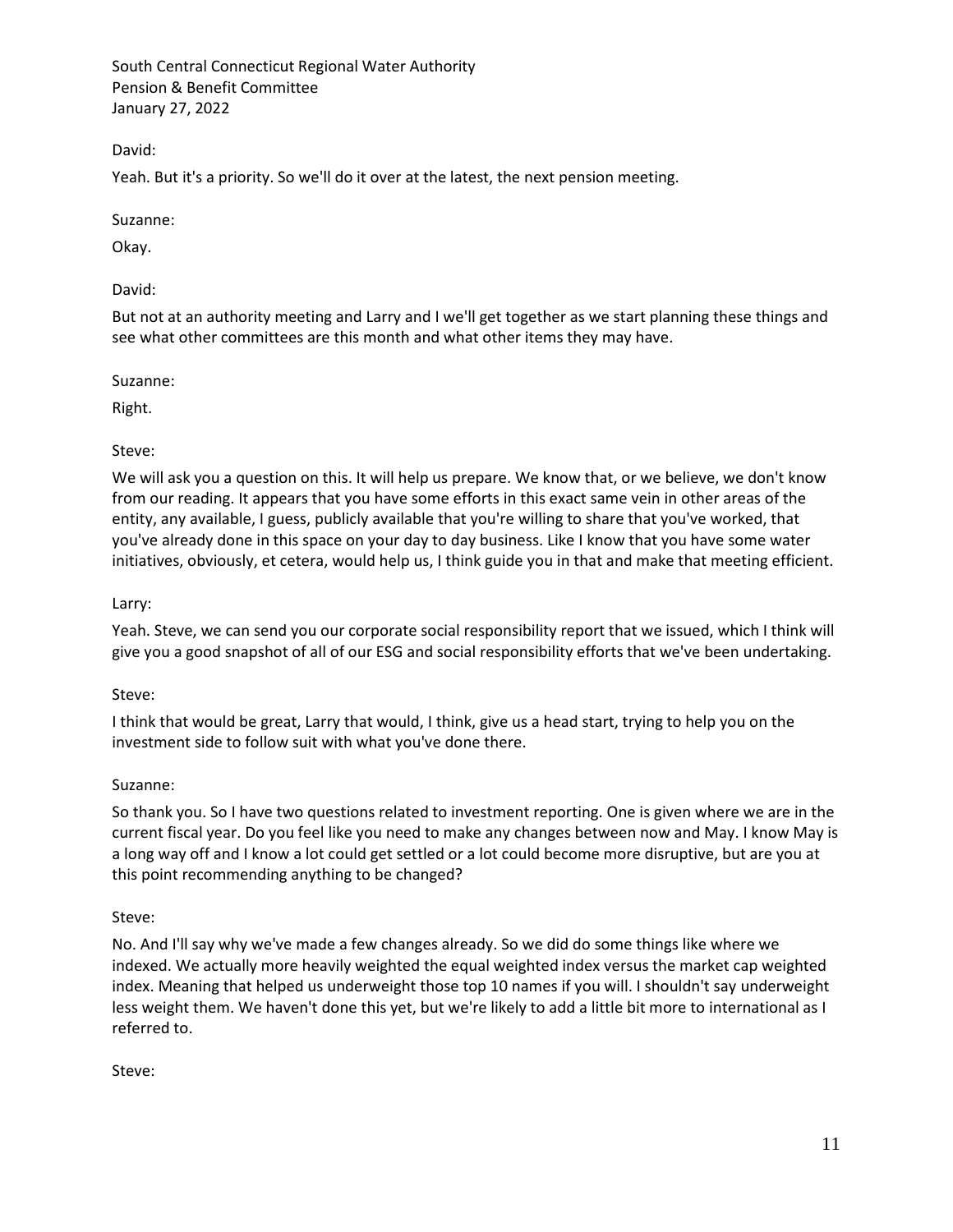David:

Yeah. But it's a priority. So we'll do it over at the latest, the next pension meeting.

Suzanne:

Okay.

David:

But not at an authority meeting and Larry and I we'll get together as we start planning these things and see what other committees are this month and what other items they may have.

Suzanne:

Right.

#### Steve:

We will ask you a question on this. It will help us prepare. We know that, or we believe, we don't know from our reading. It appears that you have some efforts in this exact same vein in other areas of the entity, any available, I guess, publicly available that you're willing to share that you've worked, that you've already done in this space on your day to day business. Like I know that you have some water initiatives, obviously, et cetera, would help us, I think guide you in that and make that meeting efficient.

Larry:

Yeah. Steve, we can send you our corporate social responsibility report that we issued, which I think will give you a good snapshot of all of our ESG and social responsibility efforts that we've been undertaking.

Steve:

I think that would be great, Larry that would, I think, give us a head start, trying to help you on the investment side to follow suit with what you've done there.

### Suzanne:

So thank you. So I have two questions related to investment reporting. One is given where we are in the current fiscal year. Do you feel like you need to make any changes between now and May. I know May is a long way off and I know a lot could get settled or a lot could become more disruptive, but are you at this point recommending anything to be changed?

### Steve:

No. And I'll say why we've made a few changes already. So we did do some things like where we indexed. We actually more heavily weighted the equal weighted index versus the market cap weighted index. Meaning that helped us underweight those top 10 names if you will. I shouldn't say underweight less weight them. We haven't done this yet, but we're likely to add a little bit more to international as I referred to.

Steve: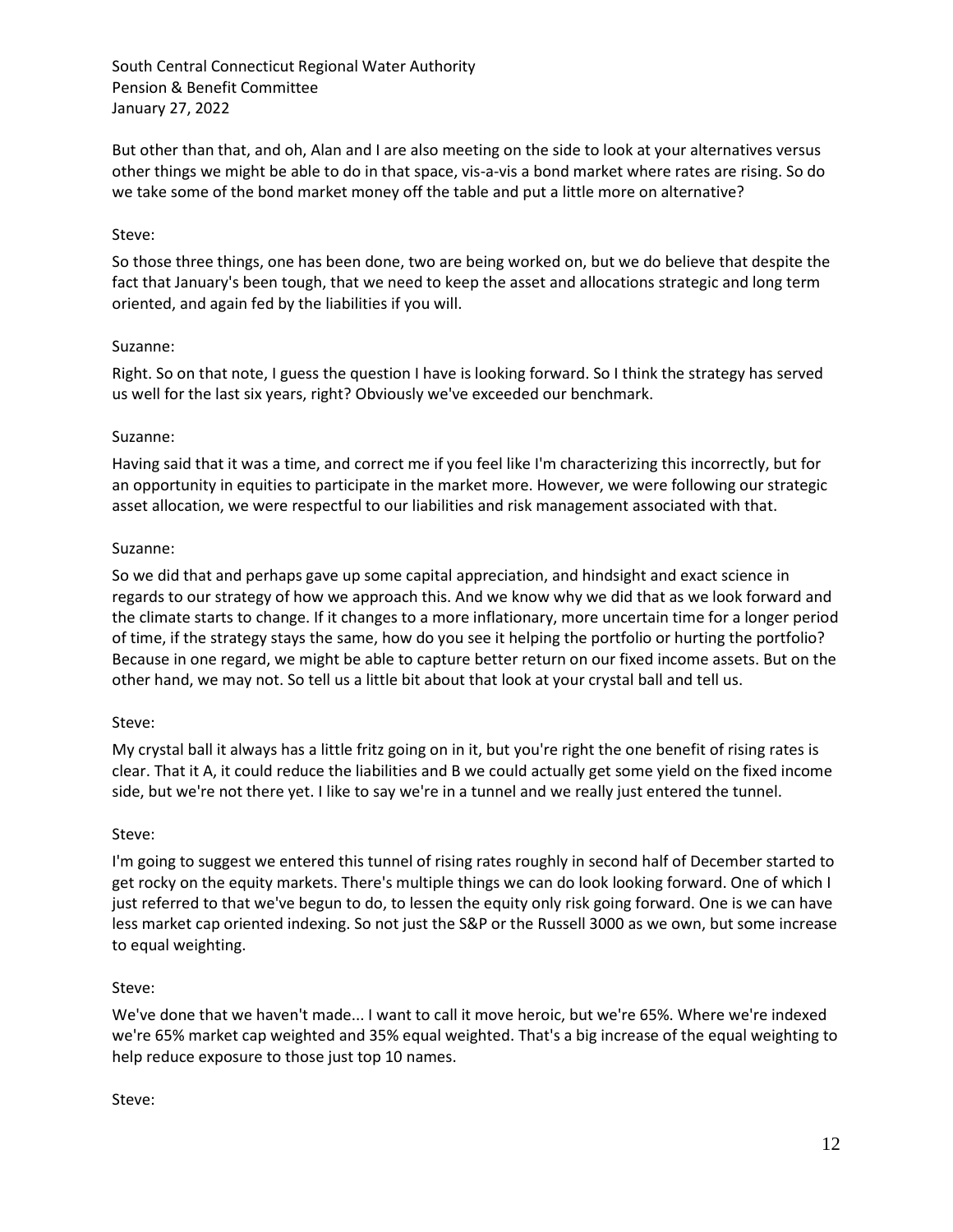But other than that, and oh, Alan and I are also meeting on the side to look at your alternatives versus other things we might be able to do in that space, vis-a-vis a bond market where rates are rising. So do we take some of the bond market money off the table and put a little more on alternative?

### Steve:

So those three things, one has been done, two are being worked on, but we do believe that despite the fact that January's been tough, that we need to keep the asset and allocations strategic and long term oriented, and again fed by the liabilities if you will.

### Suzanne:

Right. So on that note, I guess the question I have is looking forward. So I think the strategy has served us well for the last six years, right? Obviously we've exceeded our benchmark.

### Suzanne:

Having said that it was a time, and correct me if you feel like I'm characterizing this incorrectly, but for an opportunity in equities to participate in the market more. However, we were following our strategic asset allocation, we were respectful to our liabilities and risk management associated with that.

## Suzanne:

So we did that and perhaps gave up some capital appreciation, and hindsight and exact science in regards to our strategy of how we approach this. And we know why we did that as we look forward and the climate starts to change. If it changes to a more inflationary, more uncertain time for a longer period of time, if the strategy stays the same, how do you see it helping the portfolio or hurting the portfolio? Because in one regard, we might be able to capture better return on our fixed income assets. But on the other hand, we may not. So tell us a little bit about that look at your crystal ball and tell us.

### Steve:

My crystal ball it always has a little fritz going on in it, but you're right the one benefit of rising rates is clear. That it A, it could reduce the liabilities and B we could actually get some yield on the fixed income side, but we're not there yet. I like to say we're in a tunnel and we really just entered the tunnel.

### Steve:

I'm going to suggest we entered this tunnel of rising rates roughly in second half of December started to get rocky on the equity markets. There's multiple things we can do look looking forward. One of which I just referred to that we've begun to do, to lessen the equity only risk going forward. One is we can have less market cap oriented indexing. So not just the S&P or the Russell 3000 as we own, but some increase to equal weighting.

### Steve:

We've done that we haven't made... I want to call it move heroic, but we're 65%. Where we're indexed we're 65% market cap weighted and 35% equal weighted. That's a big increase of the equal weighting to help reduce exposure to those just top 10 names.

### Steve: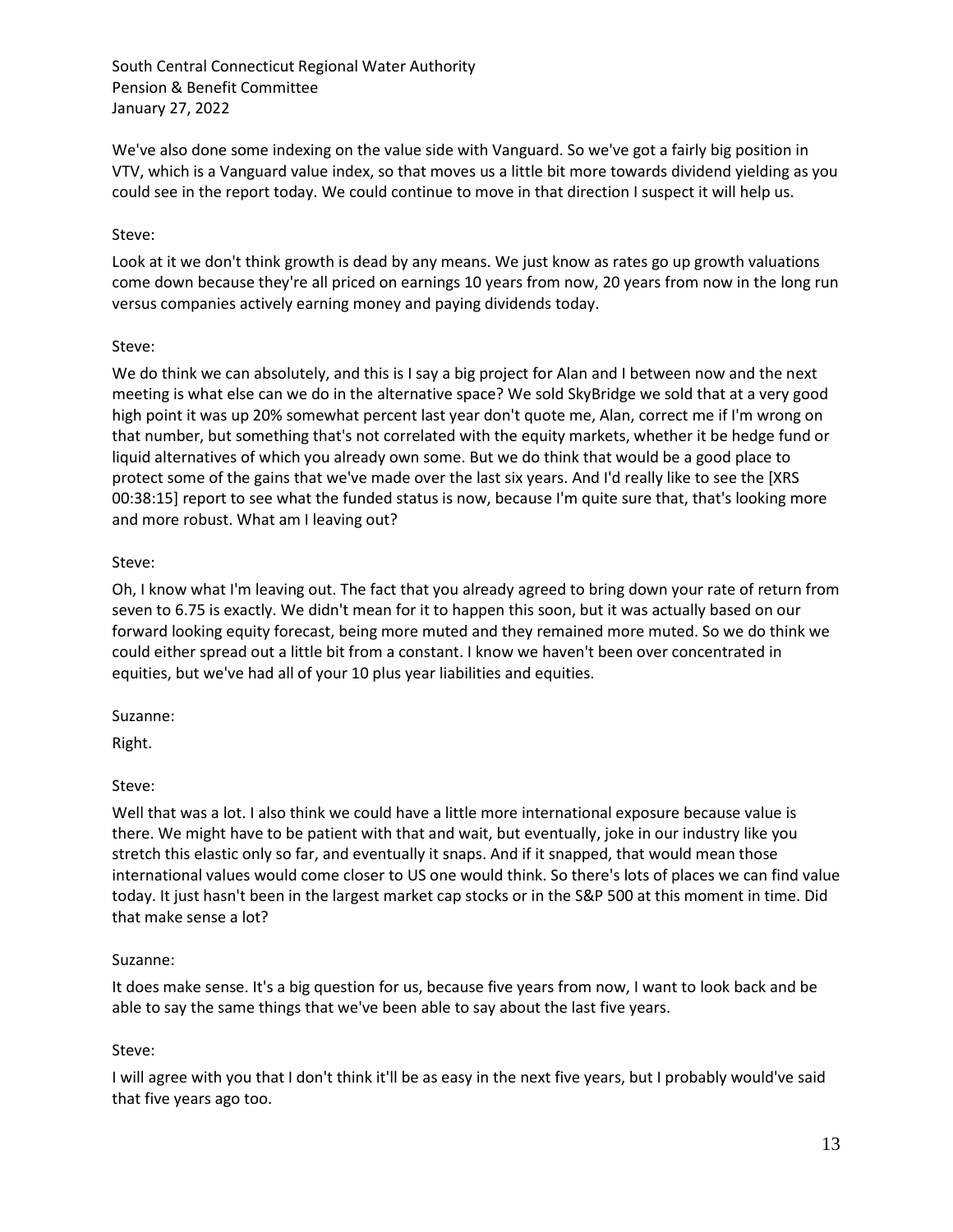We've also done some indexing on the value side with Vanguard. So we've got a fairly big position in VTV, which is a Vanguard value index, so that moves us a little bit more towards dividend yielding as you could see in the report today. We could continue to move in that direction I suspect it will help us.

### Steve:

Look at it we don't think growth is dead by any means. We just know as rates go up growth valuations come down because they're all priced on earnings 10 years from now, 20 years from now in the long run versus companies actively earning money and paying dividends today.

### Steve:

We do think we can absolutely, and this is I say a big project for Alan and I between now and the next meeting is what else can we do in the alternative space? We sold SkyBridge we sold that at a very good high point it was up 20% somewhat percent last year don't quote me, Alan, correct me if I'm wrong on that number, but something that's not correlated with the equity markets, whether it be hedge fund or liquid alternatives of which you already own some. But we do think that would be a good place to protect some of the gains that we've made over the last six years. And I'd really like to see the [XRS 00:38:15] report to see what the funded status is now, because I'm quite sure that, that's looking more and more robust. What am I leaving out?

### Steve:

Oh, I know what I'm leaving out. The fact that you already agreed to bring down your rate of return from seven to 6.75 is exactly. We didn't mean for it to happen this soon, but it was actually based on our forward looking equity forecast, being more muted and they remained more muted. So we do think we could either spread out a little bit from a constant. I know we haven't been over concentrated in equities, but we've had all of your 10 plus year liabilities and equities.

### Suzanne:

Right.

# Steve:

Well that was a lot. I also think we could have a little more international exposure because value is there. We might have to be patient with that and wait, but eventually, joke in our industry like you stretch this elastic only so far, and eventually it snaps. And if it snapped, that would mean those international values would come closer to US one would think. So there's lots of places we can find value today. It just hasn't been in the largest market cap stocks or in the S&P 500 at this moment in time. Did that make sense a lot?

### Suzanne:

It does make sense. It's a big question for us, because five years from now, I want to look back and be able to say the same things that we've been able to say about the last five years.

# Steve:

I will agree with you that I don't think it'll be as easy in the next five years, but I probably would've said that five years ago too.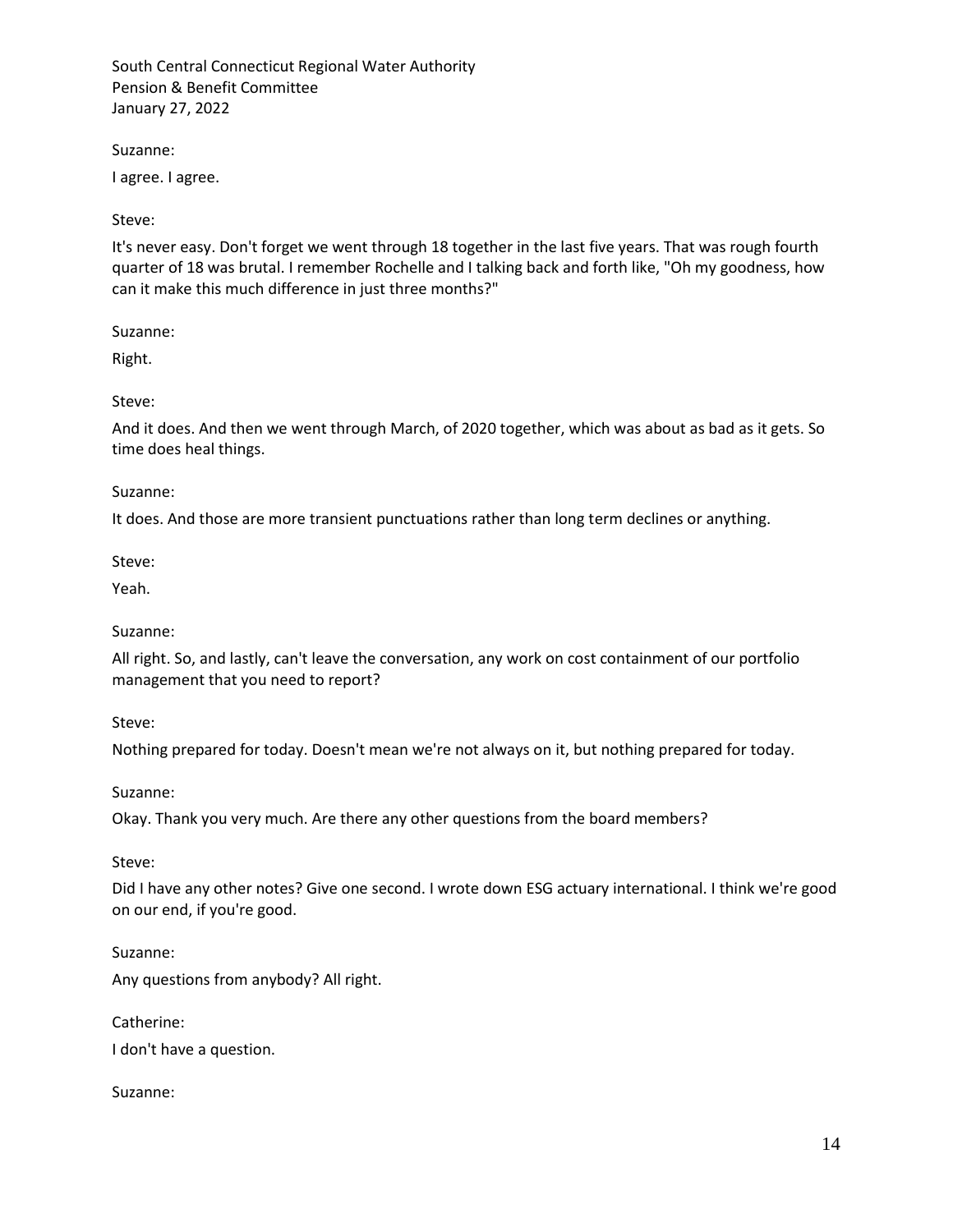Suzanne:

I agree. I agree.

Steve:

It's never easy. Don't forget we went through 18 together in the last five years. That was rough fourth quarter of 18 was brutal. I remember Rochelle and I talking back and forth like, "Oh my goodness, how can it make this much difference in just three months?"

Suzanne:

Right.

Steve:

And it does. And then we went through March, of 2020 together, which was about as bad as it gets. So time does heal things.

Suzanne:

It does. And those are more transient punctuations rather than long term declines or anything.

Steve:

Yeah.

#### Suzanne:

All right. So, and lastly, can't leave the conversation, any work on cost containment of our portfolio management that you need to report?

Steve:

Nothing prepared for today. Doesn't mean we're not always on it, but nothing prepared for today.

Suzanne:

Okay. Thank you very much. Are there any other questions from the board members?

Steve:

Did I have any other notes? Give one second. I wrote down ESG actuary international. I think we're good on our end, if you're good.

Suzanne: Any questions from anybody? All right.

Catherine:

I don't have a question.

Suzanne: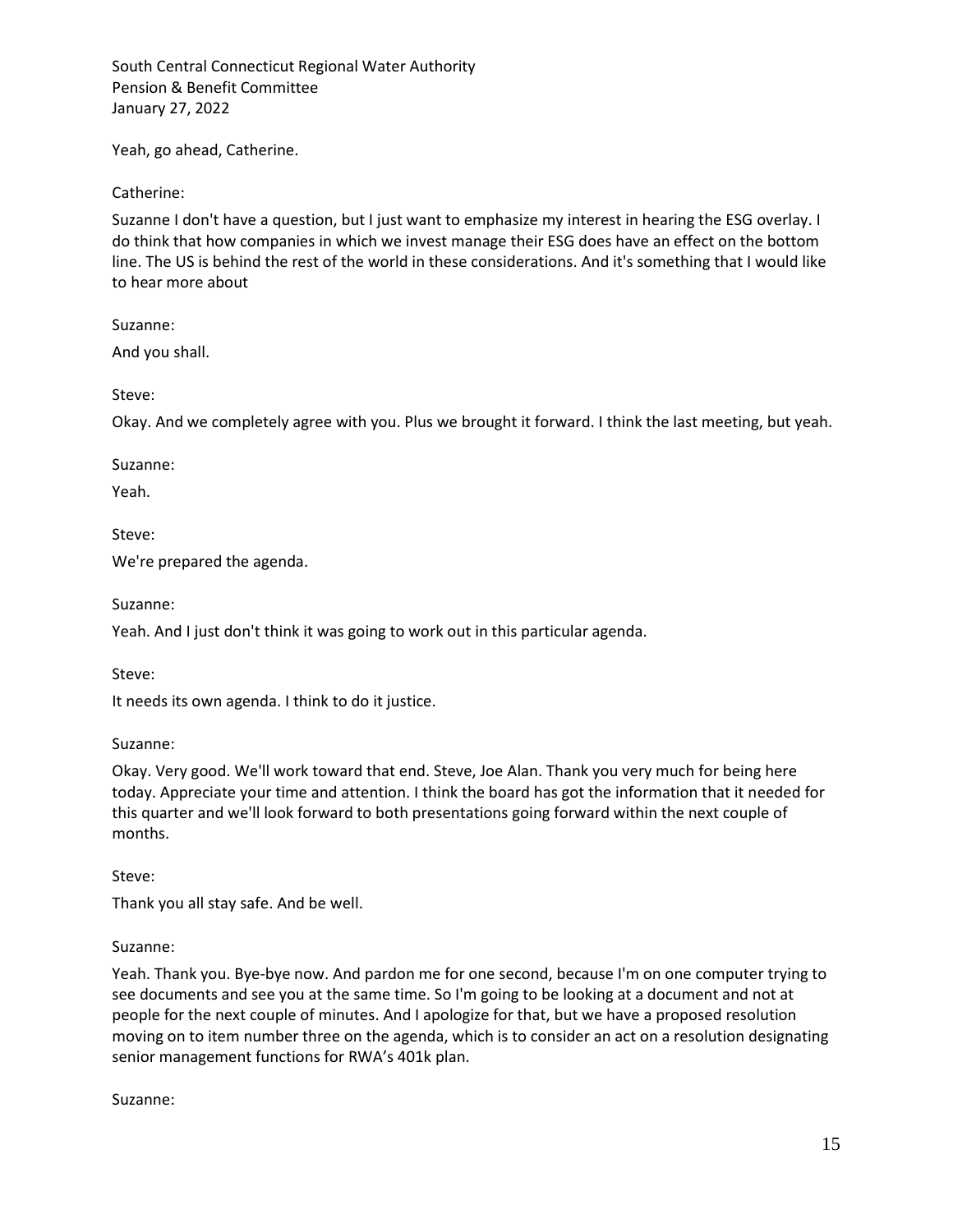Yeah, go ahead, Catherine.

Catherine:

Suzanne I don't have a question, but I just want to emphasize my interest in hearing the ESG overlay. I do think that how companies in which we invest manage their ESG does have an effect on the bottom line. The US is behind the rest of the world in these considerations. And it's something that I would like to hear more about

Suzanne:

And you shall.

Steve:

Okay. And we completely agree with you. Plus we brought it forward. I think the last meeting, but yeah.

Suzanne:

Yeah.

Steve:

We're prepared the agenda.

Suzanne:

Yeah. And I just don't think it was going to work out in this particular agenda.

Steve:

It needs its own agenda. I think to do it justice.

Suzanne:

Okay. Very good. We'll work toward that end. Steve, Joe Alan. Thank you very much for being here today. Appreciate your time and attention. I think the board has got the information that it needed for this quarter and we'll look forward to both presentations going forward within the next couple of months.

Steve:

Thank you all stay safe. And be well.

### Suzanne:

Yeah. Thank you. Bye-bye now. And pardon me for one second, because I'm on one computer trying to see documents and see you at the same time. So I'm going to be looking at a document and not at people for the next couple of minutes. And I apologize for that, but we have a proposed resolution moving on to item number three on the agenda, which is to consider an act on a resolution designating senior management functions for RWA's 401k plan.

Suzanne: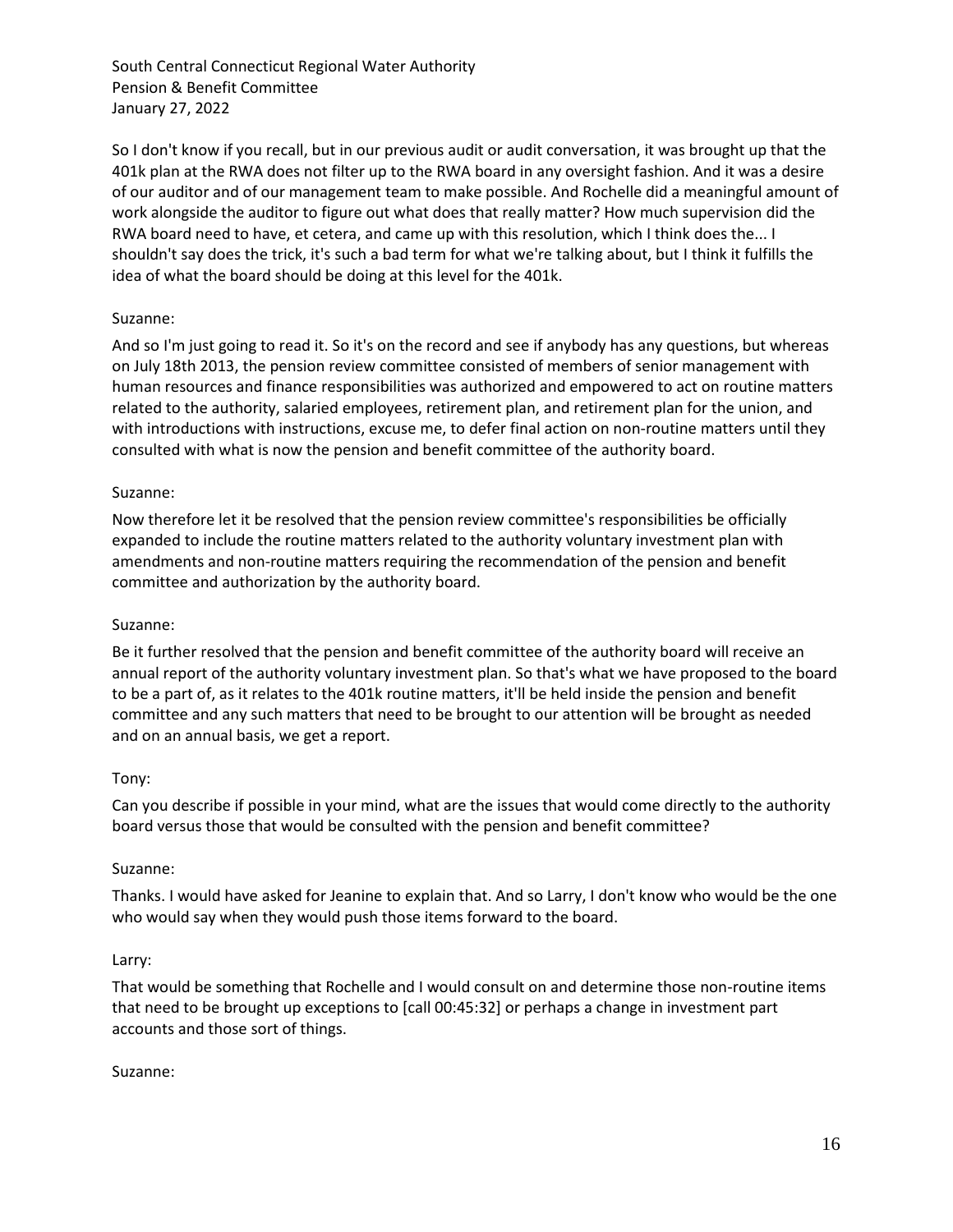So I don't know if you recall, but in our previous audit or audit conversation, it was brought up that the 401k plan at the RWA does not filter up to the RWA board in any oversight fashion. And it was a desire of our auditor and of our management team to make possible. And Rochelle did a meaningful amount of work alongside the auditor to figure out what does that really matter? How much supervision did the RWA board need to have, et cetera, and came up with this resolution, which I think does the... I shouldn't say does the trick, it's such a bad term for what we're talking about, but I think it fulfills the idea of what the board should be doing at this level for the 401k.

## Suzanne:

And so I'm just going to read it. So it's on the record and see if anybody has any questions, but whereas on July 18th 2013, the pension review committee consisted of members of senior management with human resources and finance responsibilities was authorized and empowered to act on routine matters related to the authority, salaried employees, retirement plan, and retirement plan for the union, and with introductions with instructions, excuse me, to defer final action on non-routine matters until they consulted with what is now the pension and benefit committee of the authority board.

### Suzanne:

Now therefore let it be resolved that the pension review committee's responsibilities be officially expanded to include the routine matters related to the authority voluntary investment plan with amendments and non-routine matters requiring the recommendation of the pension and benefit committee and authorization by the authority board.

### Suzanne:

Be it further resolved that the pension and benefit committee of the authority board will receive an annual report of the authority voluntary investment plan. So that's what we have proposed to the board to be a part of, as it relates to the 401k routine matters, it'll be held inside the pension and benefit committee and any such matters that need to be brought to our attention will be brought as needed and on an annual basis, we get a report.

### Tony:

Can you describe if possible in your mind, what are the issues that would come directly to the authority board versus those that would be consulted with the pension and benefit committee?

#### Suzanne:

Thanks. I would have asked for Jeanine to explain that. And so Larry, I don't know who would be the one who would say when they would push those items forward to the board.

#### Larry:

That would be something that Rochelle and I would consult on and determine those non-routine items that need to be brought up exceptions to [call 00:45:32] or perhaps a change in investment part accounts and those sort of things.

#### Suzanne: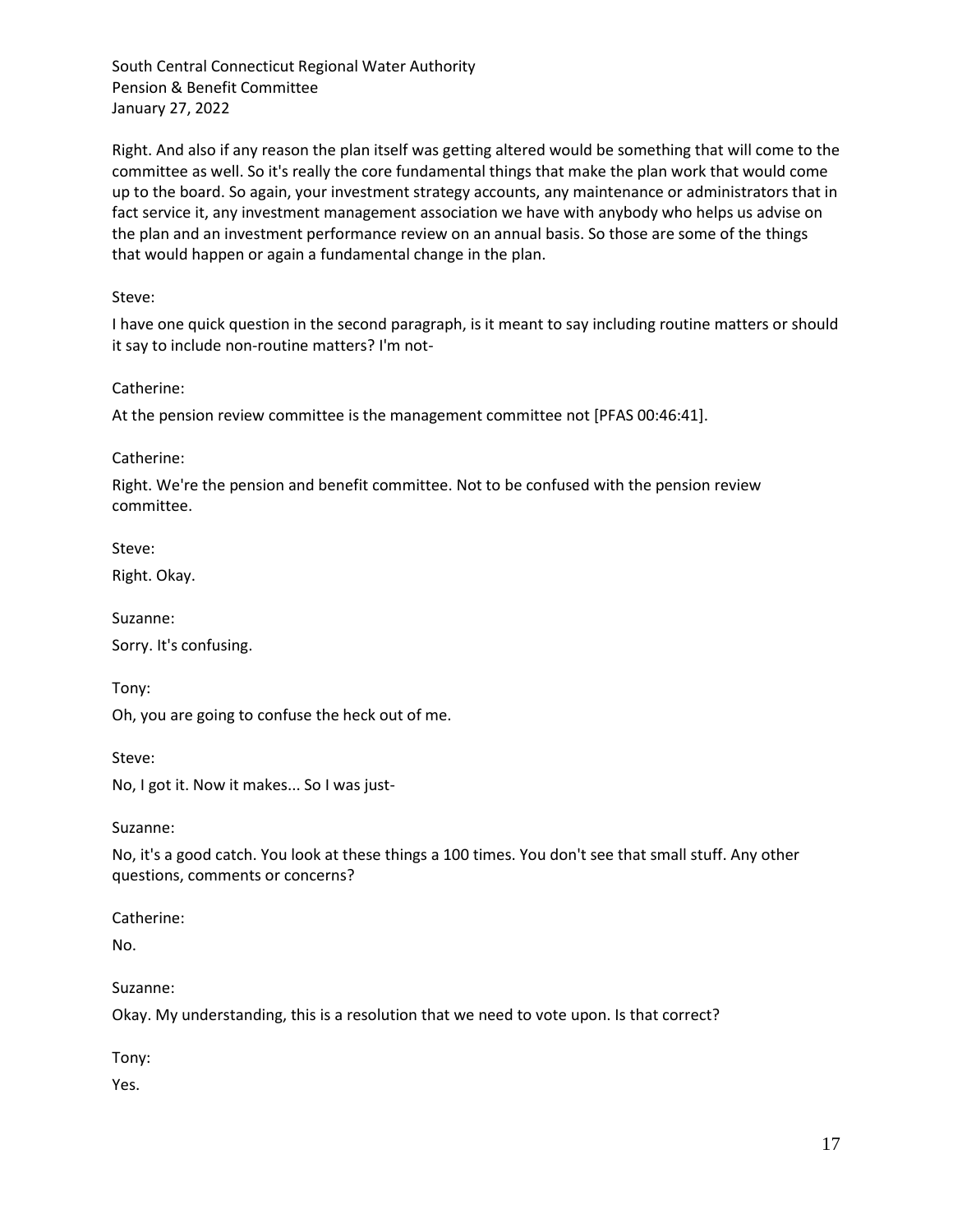Right. And also if any reason the plan itself was getting altered would be something that will come to the committee as well. So it's really the core fundamental things that make the plan work that would come up to the board. So again, your investment strategy accounts, any maintenance or administrators that in fact service it, any investment management association we have with anybody who helps us advise on the plan and an investment performance review on an annual basis. So those are some of the things that would happen or again a fundamental change in the plan.

Steve:

I have one quick question in the second paragraph, is it meant to say including routine matters or should it say to include non-routine matters? I'm not-

Catherine:

At the pension review committee is the management committee not [PFAS 00:46:41].

Catherine:

Right. We're the pension and benefit committee. Not to be confused with the pension review committee.

Steve:

Right. Okay.

Suzanne: Sorry. It's confusing.

Tony:

Oh, you are going to confuse the heck out of me.

Steve:

No, I got it. Now it makes... So I was just-

Suzanne:

No, it's a good catch. You look at these things a 100 times. You don't see that small stuff. Any other questions, comments or concerns?

Catherine:

No.

Suzanne:

Okay. My understanding, this is a resolution that we need to vote upon. Is that correct?

Tony:

Yes.